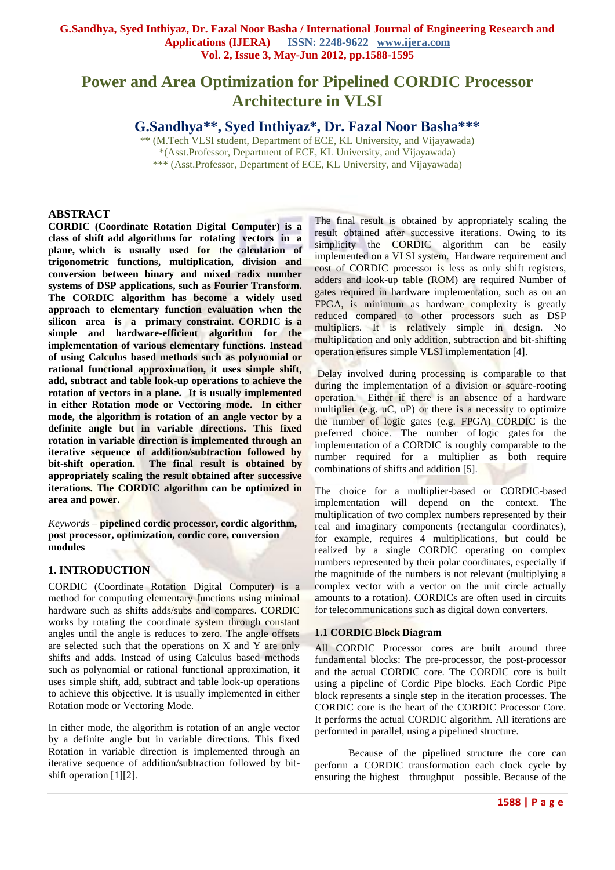# **Power and Area Optimization for Pipelined CORDIC Processor Architecture in VLSI**

**G.Sandhya\*\*, Syed Inthiyaz\*, Dr. Fazal Noor Basha\*\*\***

\*\* (M.Tech VLSI student, Department of ECE, KL University, and Vijayawada) \*(Asst.Professor, Department of ECE, KL University, and Vijayawada) \*\*\* (Asst.Professor, Department of ECE, KL University, and Vijayawada)

### **ABSTRACT**

**CORDIC (Coordinate Rotation Digital Computer) is a class of shift add algorithms for rotating vectors in a plane, which is usually used for the calculation of trigonometric functions, multiplication, division and conversion between binary and mixed radix number systems of DSP applications, such as Fourier Transform. The CORDIC algorithm has become a widely used approach to elementary function evaluation when the silicon area is a primary constraint. CORDIC is a simple and hardware-efficient algorithm for the implementation of various elementary functions. Instead of using Calculus based methods such as polynomial or rational functional approximation, it uses simple shift, add, subtract and table look-up operations to achieve the rotation of vectors in a plane. It is usually implemented in either Rotation mode or Vectoring mode. In either mode, the algorithm is rotation of an angle vector by a definite angle but in variable directions. This fixed rotation in variable direction is implemented through an iterative sequence of addition/subtraction followed by bit-shift operation. The final result is obtained by appropriately scaling the result obtained after successive iterations. The CORDIC algorithm can be optimized in area and power.**

*Keywords* – **pipelined cordic processor, cordic algorithm, post processor, optimization, cordic core, conversion modules**

# **1. INTRODUCTION**

CORDIC (Coordinate Rotation Digital Computer) is a method for computing elementary functions using minimal hardware such as shifts adds/subs and compares. CORDIC works by rotating the coordinate system through constant angles until the angle is reduces to zero. The angle offsets are selected such that the operations on X and Y are only shifts and adds. Instead of using Calculus based methods such as polynomial or rational functional approximation, it uses simple shift, add, subtract and table look-up operations to achieve this objective. It is usually implemented in either Rotation mode or Vectoring Mode.

In either mode, the algorithm is rotation of an angle vector by a definite angle but in variable directions. This fixed Rotation in variable direction is implemented through an iterative sequence of addition/subtraction followed by bitshift operation [1][2].

The final result is obtained by appropriately scaling the result obtained after successive iterations. Owing to its simplicity the CORDIC algorithm can be easily implemented on a VLSI system. Hardware requirement and cost of CORDIC processor is less as only shift registers, adders and look-up table (ROM) are required Number of gates required in hardware implementation, such as on an FPGA, is minimum as hardware complexity is greatly reduced compared to other processors such as DSP multipliers. It is relatively simple in design. No multiplication and only addition, subtraction and bit-shifting operation ensures simple VLSI implementation [4].

Delay involved during processing is comparable to that during the implementation of a division or square-rooting operation. Either if there is an absence of a hardware multiplier (e.g. uC, uP) or there is a necessity to optimize the number of logic gates (e.g. FPGA) CORDIC is the preferred choice. The number of [logic gates](http://en.wikipedia.org/wiki/Logic_gate) for the implementation of a CORDIC is roughly comparable to the number required for a multiplier as both require combinations of shifts and addition [5].

The choice for a multiplier-based or CORDIC-based implementation will depend on the context. The multiplication of two [complex numbers](http://en.wikipedia.org/wiki/Complex_number) represented by their real and imaginary components (rectangular coordinates), for example, requires 4 multiplications, but could be realized by a single CORDIC operating on complex numbers represented by their polar coordinates, especially if the magnitude of the numbers is not relevant (multiplying a complex vector with a vector on the unit circle actually amounts to a rotation). CORDICs are often used in circuits for telecommunications such as [digital down converters.](http://en.wikipedia.org/wiki/Digital_down_converter)

### **1.1 CORDIC Block Diagram**

All CORDIC Processor cores are built around three fundamental blocks: The pre-processor, the post-processor and the actual CORDIC core. The CORDIC core is built using a pipeline of Cordic Pipe blocks. Each Cordic Pipe block represents a single step in the iteration processes. The CORDIC core is the heart of the CORDIC Processor Core. It performs the actual CORDIC algorithm. All iterations are performed in parallel, using a pipelined structure.

 Because of the pipelined structure the core can perform a CORDIC transformation each clock cycle by ensuring the highest throughput possible. Because of the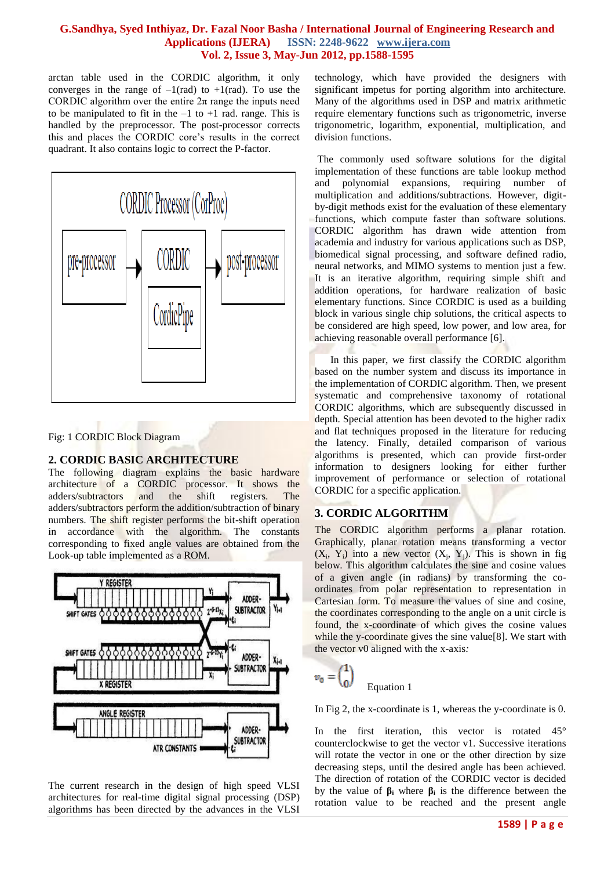arctan table used in the CORDIC algorithm, it only converges in the range of  $-1$ (rad) to  $+1$ (rad). To use the CORDIC algorithm over the entire  $2\pi$  range the inputs need to be manipulated to fit in the  $-1$  to  $+1$  rad. range. This is handled by the preprocessor. The post-processor corrects this and places the CORDIC core's results in the correct quadrant. It also contains logic to correct the P-factor.



Fig: 1 CORDIC Block Diagram

# **2. CORDIC BASIC ARCHITECTURE**

The following diagram explains the basic hardware architecture of a CORDIC processor. It shows the adders/subtractors and the shift registers. The adders/subtractors perform the addition/subtraction of binary numbers. The shift register performs the bit-shift operation in accordance with the algorithm. The constants corresponding to fixed angle values are obtained from the Look-up table implemented as a ROM.



The current research in the design of high speed VLSI architectures for real-time digital signal processing (DSP) algorithms has been directed by the advances in the VLSI

technology, which have provided the designers with significant impetus for porting algorithm into architecture. Many of the algorithms used in DSP and matrix arithmetic require elementary functions such as trigonometric, inverse trigonometric, logarithm, exponential, multiplication, and division functions.

The commonly used software solutions for the digital implementation of these functions are table lookup method and polynomial expansions, requiring number of multiplication and additions/subtractions. However, digitby-digit methods exist for the evaluation of these elementary functions, which compute faster than software solutions. CORDIC algorithm has drawn wide attention from academia and industry for various applications such as DSP, biomedical signal processing, and software defined radio, neural networks, and MIMO systems to mention just a few. It is an iterative algorithm, requiring simple shift and addition operations, for hardware realization of basic elementary functions. Since CORDIC is used as a building block in various single chip solutions, the critical aspects to be considered are high speed, low power, and low area, for achieving reasonable overall performance [6].

 In this paper, we first classify the CORDIC algorithm based on the number system and discuss its importance in the implementation of CORDIC algorithm. Then, we present systematic and comprehensive taxonomy of rotational CORDIC algorithms, which are subsequently discussed in depth. Special attention has been devoted to the higher radix and flat techniques proposed in the literature for reducing the latency. Finally, detailed comparison of various algorithms is presented, which can provide first-order information to designers looking for either further improvement of performance or selection of rotational CORDIC for a specific application.

# **3. CORDIC ALGORITHM**

The CORDIC algorithm performs a planar rotation. Graphically, planar rotation means transforming a vector  $(X_i, Y_i)$  into a new vector  $(X_j, Y_j)$ . This is shown in fig below. This algorithm calculates the sine and cosine values of a given angle (in radians) by transforming the coordinates from polar representation to representation in Cartesian form. To measure the values of sine and cosine, the coordinates corresponding to the angle on a unit circle is found, the x-coordinate of which gives the cosine values while the y-coordinate gives the sine value[8]. We start with the vector v0 aligned with the x-axis*:*

$$
v_0 = \begin{pmatrix} 1 \\ 0 \end{pmatrix}
$$
 Equation 1

In Fig 2, the x-coordinate is 1, whereas the y-coordinate is 0.

In the first iteration, this vector is rotated 45° counterclockwise to get the vector v1. Successive iterations will rotate the vector in one or the other direction by size decreasing steps, until the desired angle has been achieved. The direction of rotation of the CORDIC vector is decided by the value of  $\beta_i$  where  $\beta_i$  is the difference between the rotation value to be reached and the present angle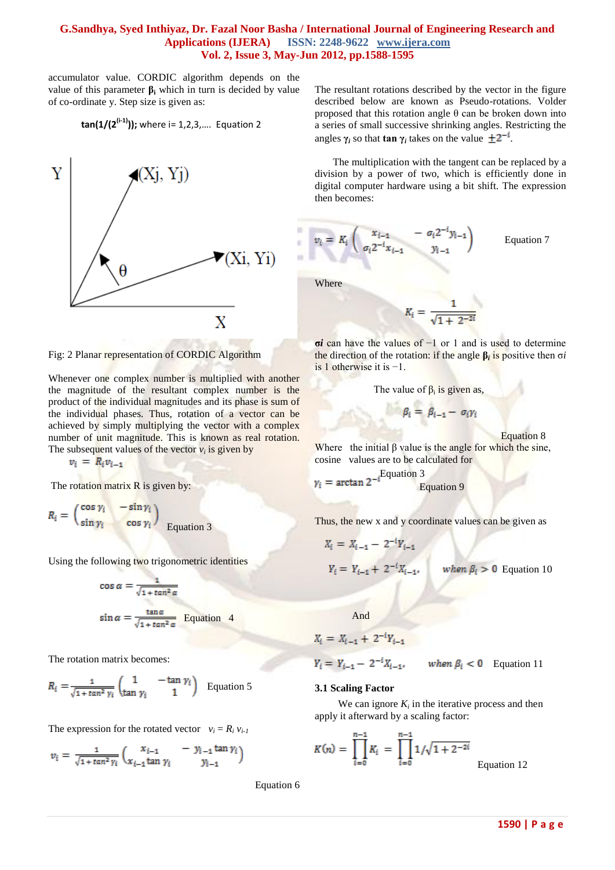accumulator value. CORDIC algorithm depends on the value of this parameter  $β$ **i** which in turn is decided by value of co-ordinate y. Step size is given as:

$$
tan(1/(2^{(i-1)}))
$$
; where i= 1,2,3,... Equation 2



Fig: 2 Planar representation of CORDIC Algorithm

Whenever one complex number is multiplied with another the magnitude of the resultant complex number is the product of the individual magnitudes and its phase is sum of the individual phases. Thus, rotation of a vector can be achieved by simply multiplying the vector with a complex number of unit magnitude. This is known as real rotation. The subsequent values of the vector  $v_i$  is given by

The rotation matrix  $R$  is given by:

$$
R_i = \begin{pmatrix} \cos \gamma_i & -\sin \gamma_i \\ \sin \gamma_i & \cos \gamma_i \end{pmatrix}
$$
 Equation 3

Using the following two trigonometric identities

$$
\cos \alpha = \frac{1}{\sqrt{1 + \tan^2 \alpha}}
$$
  

$$
\sin \alpha = \frac{\tan \alpha}{\sqrt{1 + \tan^2 \alpha}}
$$
 Equation 4

The rotation matrix becomes:

$$
R_i = \frac{1}{\sqrt{1 + \tan^2 \gamma_i}} \begin{pmatrix} 1 & -\tan \gamma_i \\ \tan \gamma_i & 1 \end{pmatrix}
$$
 Equation 5

The expression for the rotated vector  $v_i = R_i v_{i-1}$ 

$$
v_i = \frac{1}{\sqrt{1 + \tan^2 \gamma_i}} \begin{pmatrix} x_{i-1} & -y_{i-1} \tan \gamma_i \\ x_{i-1} \tan \gamma_i & y_{i-1} \end{pmatrix}
$$

Equation 6

The resultant rotations described by the vector in the figure described below are known as Pseudo-rotations. Volder proposed that this rotation angle θ can be broken down into a series of small successive shrinking angles. Restricting the angles  $\gamma_i$  so that **tan**  $\gamma_i$  takes on the value  $\pm 2^{-i}$ .

 The multiplication with the tangent can be replaced by a division by a power of two, which is efficiently done in digital computer hardware using a bit shift. The expression then becomes:

$$
v_i = K_i \begin{pmatrix} x_{i-1} & -\sigma_i 2^{-i} y_{i-1} \\ \sigma_i 2^{-i} x_{i-1} & y_{i-1} \end{pmatrix}
$$
 Equation 7

Where

ä ×

**σ***i* can have the values of −1 or 1 and is used to determine the direction of the rotation: if the angle **β***<sup>i</sup>* is positive then σ*i*  is 1 otherwise it is −1.

The value of 
$$
\beta_i
$$
 is given as,

$$
\beta_i = \beta_{i-1} - \sigma_i \gamma_i
$$

Equation 8

Where the initial  $\beta$  value is the angle for which the sine, cosine values are to be calculated for

The rotation matrix R is given by:  
\n
$$
\gamma_i = \arctan 2^{-i} \frac{Equation 3}{Equation 9}
$$

Thus, the new x and y coordinate values can be given as

$$
X_i = X_{i-1} - 2^{-i} Y_{i-1}
$$
  
\n
$$
Y_i = Y_{i-1} + 2^{-i} X_{i-1}, \quad \text{when } \beta_i > 0 \text{ Equation 10}
$$

And

$$
X_i = X_{i-1} + 2^{-i}Y_{i-1}
$$

$$
Y_i = Y_{i-1} - 2^{-i}X_{i-1}, \qquad \text{when } \beta_i < 0 \quad \text{Equation 11}
$$

#### **3.1 Scaling Factor**

We can ignore  $K_i$  in the iterative process and then apply it afterward by a scaling factor:

$$
K(n) = \prod_{i=0}^{n-1} K_i = \prod_{i=0}^{n-1} 1/\sqrt{1 + 2^{-2i}}
$$
Equati

on  $12$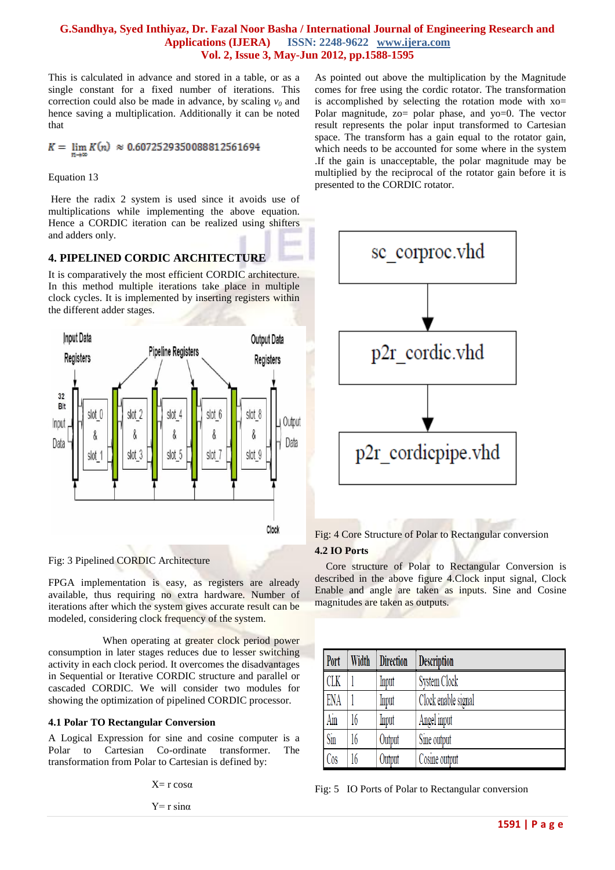This is calculated in advance and stored in a table, or as a single constant for a fixed number of iterations. This correction could also be made in advance, by scaling  $v_0$  and hence saving a multiplication. Additionally it can be noted that

 $K = \lim_{n \to \infty} K(n) \approx 0.6072529350088812561694$ 

Equation 13

Here the radix 2 system is used since it avoids use of multiplications while implementing the above equation. Hence a CORDIC iteration can be realized using shifters and adders only.

### **4. PIPELINED CORDIC ARCHITECTURE**

It is comparatively the most efficient CORDIC architecture. In this method multiple iterations take place in multiple clock cycles. It is implemented by inserting registers within the different adder stages.



Fig: 3 Pipelined CORDIC Architecture

FPGA implementation is easy, as registers are already available, thus requiring no extra hardware. Number of iterations after which the system gives accurate result can be modeled, considering clock frequency of the system.

 When operating at greater clock period power consumption in later stages reduces due to lesser switching activity in each clock period. It overcomes the disadvantages in Sequential or Iterative CORDIC structure and parallel or cascaded CORDIC. We will consider two modules for showing the optimization of pipelined CORDIC processor.

### **4.1 Polar TO Rectangular Conversion**

A Logical Expression for sine and cosine computer is a Polar to Cartesian Co-ordinate transformer. The transformation from Polar to Cartesian is defined by:

 $X=r \cos \alpha$ 

 $Y=r \sin \alpha$ 

As pointed out above the multiplication by the Magnitude comes for free using the cordic rotator. The transformation is accomplished by selecting the rotation mode with xo= Polar magnitude, zo= polar phase, and yo=0. The vector result represents the polar input transformed to Cartesian space. The transform has a gain equal to the rotator gain, which needs to be accounted for some where in the system .If the gain is unacceptable, the polar magnitude may be multiplied by the reciprocal of the rotator gain before it is presented to the CORDIC rotator.



Fig: 4 Core Structure of Polar to Rectangular conversion

#### **4.2 IO Ports**

Core structure of Polar to Rectangular Conversion is described in the above figure 4.Clock input signal, Clock Enable and angle are taken as inputs. Sine and Cosine magnitudes are taken as outputs.

| Port       | Width | <b>Direction</b> | <b>Description</b>  |
|------------|-------|------------------|---------------------|
| <b>CLK</b> |       | Input            | System Clock        |
| ENA        |       | Input            | Clock enable signal |
| Ain        | 16    | Input            | Angel input         |
| Sin        | 16    | Output           | Sine output         |
| Cos        | 16    | Output           | Cosine output       |

Fig: 5 IO Ports of Polar to Rectangular conversion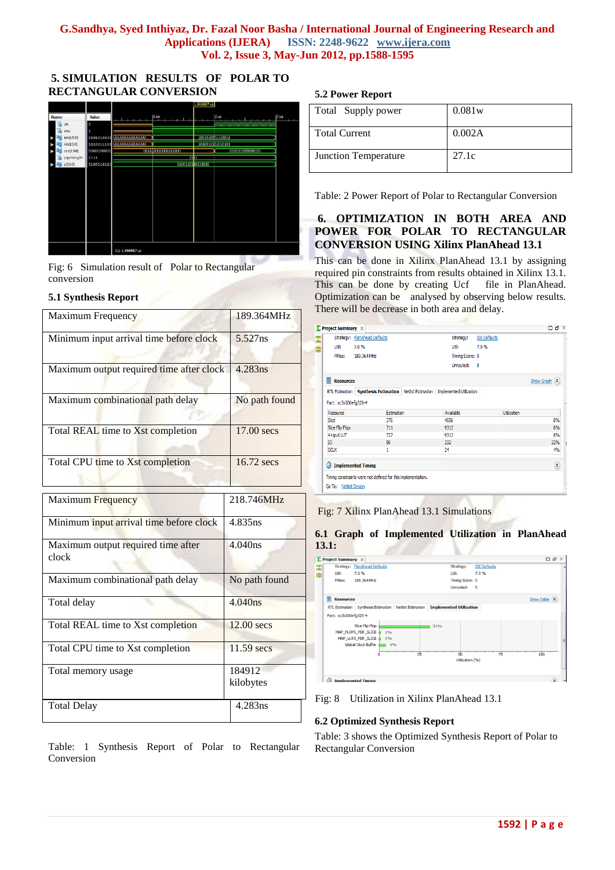# **5. SIMULATION RESULTS OF POLAR TO RECTANGULAR CONVERSION**



Fig: 6 Simulation result of Polar to Rectangular conversion

### **5.1 Synthesis Report**

| Maximum Frequency                           | 189.364MHz          |  |
|---------------------------------------------|---------------------|--|
| Minimum input arrival time before clock     | $5.527$ ns          |  |
| Maximum output required time after clock    | 4.283ns             |  |
| Maximum combinational path delay            | No path found       |  |
| Total REAL time to Xst completion           | 17.00 secs          |  |
| Total CPU time to Xst completion            | 16.72 secs          |  |
| <b>Maximum Frequency</b>                    | 218.746MHz          |  |
| Minimum input arrival time before clock     | 4.835ns             |  |
| Maximum output required time after<br>clock | 4.040ns             |  |
| Maximum combinational path delay            | No path found       |  |
| Total delay                                 | 4.040ns             |  |
| Total REAL time to Xst completion           | 12.00 secs          |  |
| Total CPU time to Xst completion            | 11.59 secs          |  |
| Total memory usage                          | 184912<br>kilobytes |  |
| <b>Total Delay</b>                          | 4.283ns             |  |

Table: 1 Synthesis Report of Polar to Rectangular Conversion

# **5.2 Power Report**

| Total Supply power          | 0.081w |
|-----------------------------|--------|
| <b>Total Current</b>        | 0.002A |
| <b>Junction Temperature</b> | 27.1c  |

Table: 2 Power Report of Polar to Rectangular Conversion

# **6. OPTIMIZATION IN BOTH AREA AND POWER FOR POLAR TO RECTANGULAR CONVERSION USING Xilinx PlanAhead 13.1**

This can be done in Xilinx PlanAhead 13.1 by assigning required pin constraints from results obtained in Xilinx 13.1. This can be done by creating Ucf file in PlanAhead. Optimization can be analysed by observing below results. There will be decrease in both area and delay.

|                       | Strategy: PlanAhead Defaults |                                                                                      | Strategy:       | <b>ISE Defaults</b> |                    |                          |
|-----------------------|------------------------------|--------------------------------------------------------------------------------------|-----------------|---------------------|--------------------|--------------------------|
| Util:                 | 7.0%                         |                                                                                      | Util:           | 7.0%                |                    |                          |
| FMax:                 | 189.364 MHz                  |                                                                                      | Timing Score: 0 |                     |                    |                          |
|                       |                              |                                                                                      | Unrouted:       | $\mathbf{0}$        |                    |                          |
| П<br><b>Resources</b> |                              |                                                                                      |                 |                     |                    | Show Graph (A)           |
|                       |                              | RTL Estimation   Synthesis Estimation   Netlist Estimation   Implemented Utilization |                 |                     |                    |                          |
| Part: xc3s500efg320-4 |                              |                                                                                      |                 |                     |                    |                          |
| Resource              |                              | <b>Estimation</b>                                                                    | Available       |                     | <b>Utilization</b> |                          |
| Slice                 |                              | 376                                                                                  | 4656            |                     |                    | 8%                       |
|                       |                              | 711                                                                                  | 9312            |                     |                    | 8%                       |
| Slice Flip Flop       |                              |                                                                                      |                 |                     |                    | 8%                       |
| 4 input LUT           |                              | 727                                                                                  | 9312            |                     |                    |                          |
| IO.                   |                              | 50                                                                                   | 232             |                     |                    | 22%                      |
| <b>GCLK</b>           |                              | 1                                                                                    | 24              |                     |                    | 4%                       |
| Ø                     | <b>Implemented Timing</b>    |                                                                                      |                 |                     |                    |                          |
|                       |                              | Timing constraints were not defined for this implementation.                         |                 |                     |                    | $\pmb{\hat{\mathbf{x}}}$ |



# **6.1 Graph of Implemented Utilization in PlanAhead 13.1:**



Fig: 8 Utilization in Xilinx PlanAhead 13.1

# **6.2 Optimized Synthesis Report**

Table: 3 shows the Optimized Synthesis Report of Polar to Rectangular Conversion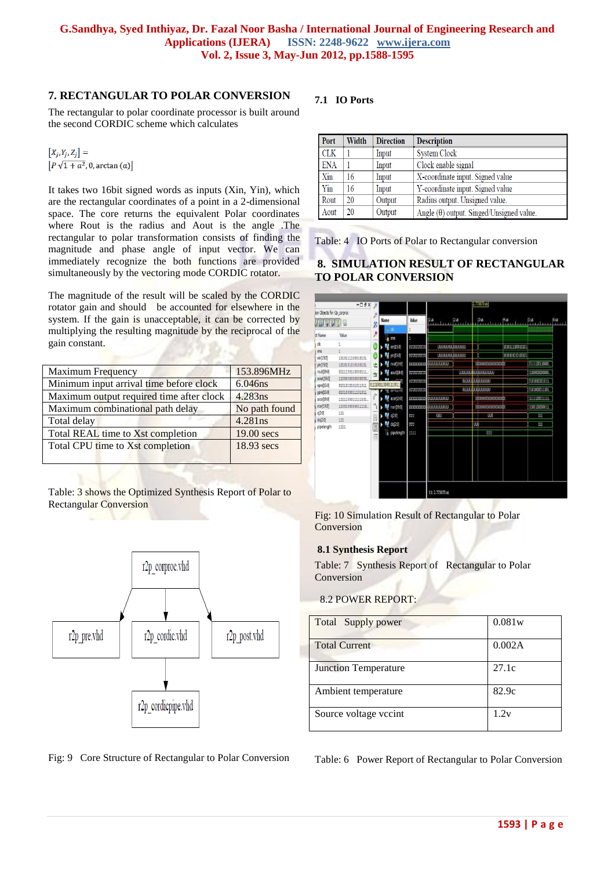# **7. RECTANGULAR TO POLAR CONVERSION**

The rectangular to polar coordinate processor is built around the second CORDIC scheme which calculates

 $\left|P\sqrt{1+a^2},0,\arctan(a)\right|$ 

It takes two 16bit signed words as inputs (Xin, Yin), which are the rectangular coordinates of a point in a 2-dimensional space. The core returns the equivalent Polar coordinates where Rout is the radius and Aout is the angle .The rectangular to polar transformation consists of finding the magnitude and phase angle of input vector. We can immediately recognize the both functions are provided simultaneously by the vectoring mode CORDIC rotator.

The magnitude of the result will be scaled by the CORDIC rotator gain and should be accounted for elsewhere in the system. If the gain is unacceptable, it can be corrected by multiplying the resulting magnitude by the reciprocal of the gain constant.

| Maximum Frequency                        | 153.896MHz    |
|------------------------------------------|---------------|
| Minimum input arrival time before clock  | $6.046$ ns    |
| Maximum output required time after clock | $4.283$ ns    |
| Maximum combinational path delay         | No path found |
| Total delay                              | 4.281ns       |
| Total REAL time to Xst completion        | 19.00 secs    |
| Total CPU time to Xst completion         | 18.93 secs    |
|                                          |               |

Table: 3 shows the Optimized Synthesis Report of Polar to Rectangular Conversion





# **7.1 IO Ports**

| Port       | Width | <b>Direction</b> | <b>Description</b>                              |
|------------|-------|------------------|-------------------------------------------------|
| CLK        |       | Input            | <b>System Clock</b>                             |
| <b>ENA</b> |       | Input            | Clock enable signal                             |
| Xin        | 16    | Input            | X-coordinate input. Signed value                |
| Yin        | 16    | Input            | Y-coordinate input. Signed value                |
| Rout       | 20    | Output           | Radius output. Unsigned value.                  |
| Aout       | 20    | Output           | Angle $(\theta)$ output. Singed/Unsigned value. |

Table: 4 IO Ports of Polar to Rectangular conversion

# **8. SIMULATION RESULT OF RECTANGULAR TO POLAR CONVERSION**



Fig: 10 Simulation Result of Rectangular to Polar Conversion

### **8.1 Synthesis Report**

Table: 7 Synthesis Report of Rectangular to Polar Conversion

### 8.2 POWER REPORT:

| Total Supply power          | 0.081w |
|-----------------------------|--------|
| <b>Total Current</b>        | 0.002A |
| <b>Junction Temperature</b> | 27.1c  |
| Ambient temperature         | 82.9c  |
| Source voltage vecint       | 1.2v   |

Table: 6 Power Report of Rectangular to Polar Conversion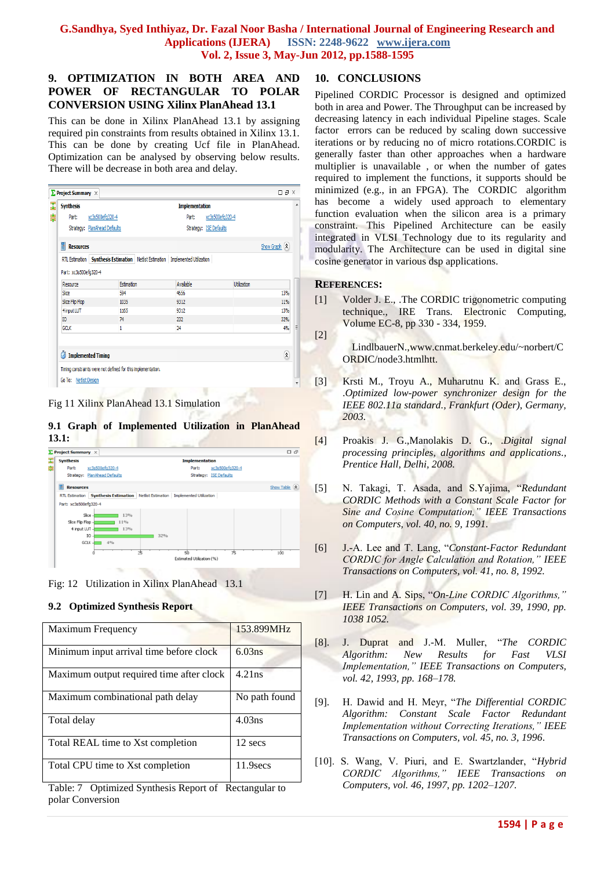# **9. OPTIMIZATION IN BOTH AREA AND POWER OF RECTANGULAR TO POLAR CONVERSION USING Xilinx PlanAhead 13.1**

This can be done in Xilinx PlanAhead 13.1 by assigning required pin constraints from results obtained in Xilinx 13.1. This can be done by creating Ucf file in PlanAhead. Optimization can be analysed by observing below results. There will be decrease in both area and delay.

| <b>Synthesis</b>      |                              |                                                                                      | <b>Implementation</b>  |                    |                |
|-----------------------|------------------------------|--------------------------------------------------------------------------------------|------------------------|--------------------|----------------|
| Part:                 | xc3s500efg320-4              |                                                                                      | Part:                  | xc3s500efg320-4    |                |
|                       |                              |                                                                                      |                        |                    |                |
|                       | Strategy: PlanAhead Defaults |                                                                                      | Strategy: ISE Defaults |                    |                |
| 튫<br><b>Resources</b> |                              |                                                                                      |                        |                    | Show Graph (A) |
|                       |                              | RTL Estimation   Synthesis Estimation   Netlist Estimation   Implemented Utilization |                        |                    |                |
| Part: xc3s500efg320-4 |                              |                                                                                      |                        |                    |                |
| Resource              |                              | Estimation                                                                           | Available              | <b>Utilization</b> |                |
|                       |                              | 594                                                                                  | 4656                   |                    | 13%            |
|                       |                              |                                                                                      |                        |                    |                |
| Slice                 |                              |                                                                                      |                        |                    |                |
| Slice Flip Flop       |                              | 1035<br>1165                                                                         | 9312<br>9312           |                    | 11%<br>13%     |
| 4 input LUT<br>IO     | 74                           |                                                                                      | 232                    |                    | 32%            |



**9.1 Graph of Implemented Utilization in PlanAhead 13.1:**



Fig: 12 Utilization in Xilinx PlanAhead 13.1

# **9.2 Optimized Synthesis Report**

| <b>Maximum Frequency</b>                 | 153.899MHz    |
|------------------------------------------|---------------|
| Minimum input arrival time before clock  | 6.03ns        |
| Maximum output required time after clock | 4.21ns        |
| Maximum combinational path delay         | No path found |
| Total delay                              | 4.03ns        |
| Total REAL time to Xst completion        | 12 secs       |
| Total CPU time to Xst completion         | 11.9secs      |

Table: 7 Optimized Synthesis Report of Rectangular to polar Conversion

# **10. CONCLUSIONS**

Pipelined CORDIC Processor is designed and optimized both in area and Power. The Throughput can be increased by decreasing latency in each individual Pipeline stages. Scale factor errors can be reduced by scaling down successive iterations or by reducing no of micro rotations.CORDIC is generally faster than other approaches when a hardware multiplier is unavailable , or when the number of gates required to implement the functions, it supports should be minimized (e.g., in an [FPGA\)](http://en.wikipedia.org/wiki/FPGA). The CORDIC algorithm has become a widely used approach to elementary function evaluation when the silicon area is a primary constraint. This Pipelined Architecture can be easily integrated in VLSI Technology due to its regularity and modularity. The Architecture can be used in digital sine cosine generator in various dsp applications.

# **REFERENCES:**

[1] Volder J. E., .The CORDIC trigonometric computing technique., IRE Trans. Electronic Computing, Volume EC-8, pp 330 - 334, 1959. [2]

LindlbauerN.,www.cnmat.berkeley.edu/~norbert/C ORDIC/node3.htmlhtt.

- [3] Krsti M., Troyu A., Muharutnu K. and Grass E., .*Optimized low-power synchronizer design for the IEEE 802.11a standard., Frankfurt (Oder), Germany, 2003.*
- [4] Proakis J. G.,Manolakis D. G., .*Digital signal processing principles, algorithms and applications., Prentice Hall, Delhi, 2008.*
- [5] N. Takagi, T. Asada, and S.Yajima, "*Redundant CORDIC Methods with a Constant Scale Factor for Sine and Cosine Computation," IEEE Transactions on Computers, vol. 40, no. 9, 1991.*
- [6] J.-A. Lee and T. Lang, "*Constant-Factor Redundant CORDIC for Angle Calculation and Rotation," IEEE Transactions on Computers, vol. 41, no. 8, 1992.*
- [7] H. Lin and A. Sips, "*On-Line CORDIC Algorithms," IEEE Transactions on Computers, vol. 39, 1990, pp. 1038 1052.*
- [8]. J. Duprat and J.-M. Muller, "*The CORDIC Algorithm: New Results for Fast VLSI Implementation," IEEE Transactions on Computers, vol. 42, 1993, pp. 168–178.*
- [9]. H. Dawid and H. Meyr, "*The Differential CORDIC Algorithm: Constant Scale Factor Redundant Implementation without Correcting Iterations," IEEE Transactions on Computers, vol. 45, no. 3, 1996*.
- [10]. S. Wang, V. Piuri, and E. Swartzlander, "*Hybrid CORDIC Algorithms," IEEE Transactions on Computers, vol. 46, 1997, pp. 1202–1207.*